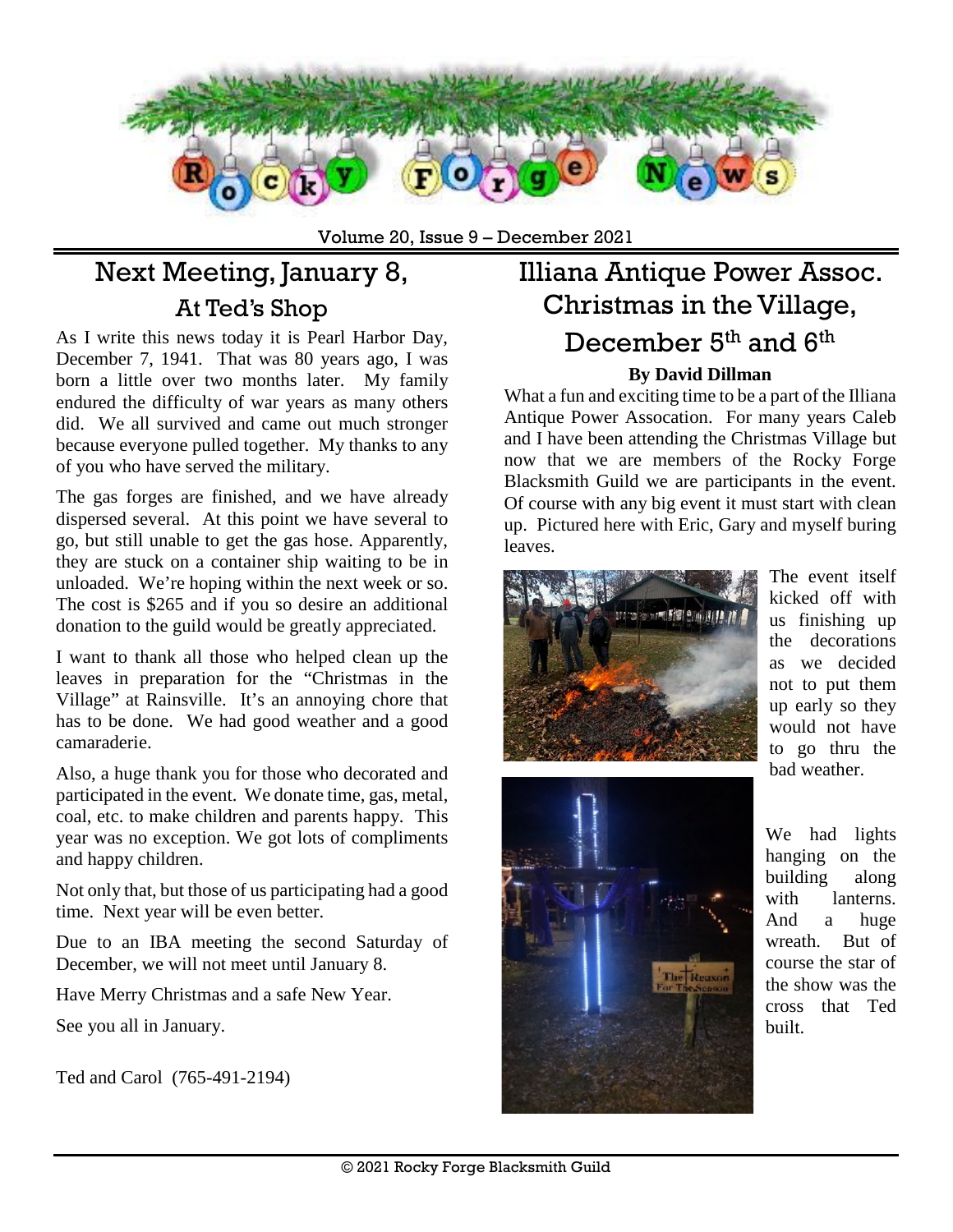

Volume 20, Issue 9 – December 2021

# Next Meeting, January 8, At Ted's Shop

As I write this news today it is Pearl Harbor Day, December 7, 1941. That was 80 years ago, I was born a little over two months later. My family endured the difficulty of war years as many others did. We all survived and came out much stronger because everyone pulled together. My thanks to any of you who have served the military.

The gas forges are finished, and we have already dispersed several. At this point we have several to go, but still unable to get the gas hose. Apparently, they are stuck on a container ship waiting to be in unloaded. We're hoping within the next week or so. The cost is \$265 and if you so desire an additional donation to the guild would be greatly appreciated.

I want to thank all those who helped clean up the leaves in preparation for the "Christmas in the Village" at Rainsville. It's an annoying chore that has to be done. We had good weather and a good camaraderie.

Also, a huge thank you for those who decorated and participated in the event. We donate time, gas, metal, coal, etc. to make children and parents happy. This year was no exception. We got lots of compliments and happy children.

Not only that, but those of us participating had a good time. Next year will be even better.

Due to an IBA meeting the second Saturday of December, we will not meet until January 8.

Have Merry Christmas and a safe New Year.

See you all in January.

Ted and Carol [\(765-491-2194\)](tel:765-491-2194)

### Illiana Antique Power Assoc. Christmas in the Village, December 5<sup>th</sup> and 6<sup>th</sup> **By David Dillman**

#### What a fun and exciting time to be a part of the Illiana Antique Power Assocation. For many years Caleb and I have been attending the Christmas Village but now that we are members of the Rocky Forge Blacksmith Guild we are participants in the event. Of course with any big event it must start with clean up. Pictured here with Eric, Gary and myself buring leaves.



The event itself kicked off with us finishing up the decorations as we decided not to put them up early so they would not have to go thru the bad weather.



We had lights hanging on the building along with lanterns. And a huge wreath. But of course the star of the show was the cross that Ted built.